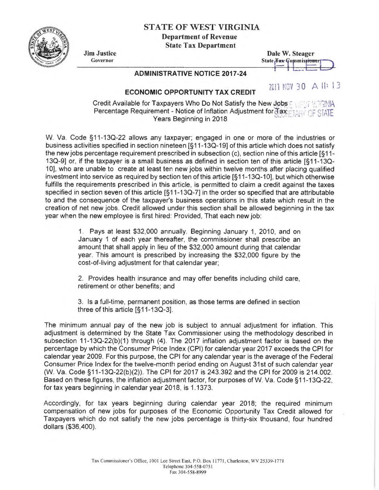## STATE OF WEST VIRGINIA

Department of Revenue

**State** 

| <b>Tax Department</b> |   |  |  |  |
|-----------------------|---|--|--|--|
|                       | S |  |  |  |

| Dale W. Steager |  |                                                 |  |
|-----------------|--|-------------------------------------------------|--|
|                 |  | State <del>Tax C</del> ommis <del>sionery</del> |  |
|                 |  |                                                 |  |
|                 |  |                                                 |  |

2011 NOV 30 A II: 13

Dale W. Steager

## ADMINISTRATIVE NOTICE 2017-24

## ECONOMIC OPPORTUNITY TAX CREDIT

Credit Available for Taxpayers Who Do Not Satisfy the New Jobs Four TH TANA Percentage Requirement - Notice of Inflation Adjustment for  $\overline{\text{max}}$ . TAHY OF STATE Years Beginning in 2018

W. Va. Code §11-130-22 allows any taxpayer; engaged in one or more of the industries or business activities specified in section nineteen [§11-130-19] of this article which does not satisfy the new jobs percentage requirement prescribed in subsection (c), section nine of this article [§11- 130-9] or, if the taxpayer is a small business as defined in section ten of this article [§ 11-130- 1 O], who are unable to create at least ten new jobs within twelve months after placing qualified investment into service as required by section ten of this article [§11-13Q-10], but which otherwise fulfills the requirements prescribed in this article, is permitted to claim a credit against the taxes specified in section seven of this article [§11-13Q-7] in the order so specified that are attributable to and the consequence of the taxpayer's business operations in this state which result in the creation of net new jobs. Credit allowed under this section shall be allowed beginning in the tax year when the new employee is first hired: Provided, That each new job:

> 1. Pays at least \$32,000 annually. Beginning January 1, 2010, and on January 1 of each year thereafter, the commissioner shall prescribe an amount that shall apply in lieu of the \$32,000 amount during that calendar year. This amount is prescribed by increasing the \$32,000 figure by the cost-of-living adjustment for that calendar year;

> 2. Provides health insurance and may offer benefits including child care, retirement or other benefits; and

> 3. Is a full-time, permanent position, as those terms are defined in section three of this article [§11-130-3].

The minimum annual pay of the new job is subject to annual adjustment for inflation. This adjustment is determined by the State Tax Commissioner using the methodology described in subsection 11-130-22(b)(1) through (4). The 2017 inflation adjustment factor is based on the percentage by which the Consumer Price Index (CPI) for calendar year 2017 exceeds the CPI for calendar year 2009. For this purpose, the CPI for any calendar year is the average of the Federal Consumer Price Index for the twelve-month period ending on August 31st of such calendar year (W. Va. Code §11 -130-22(b)(2)). The CPI for 2017 is 243.392 and the CPI for 2009 is 214.002. Based on these figures, the inflation adjustment factor, for purposes of W. Va. Code §11-130-22, for tax years beginning in calendar year 2018, is 1.1373.

Accordingly, for tax years beginning during calendar year 2018; the required minimum compensation of new jobs for purposes of the Economic Opportunity Tax Credit allowed for Taxpayers which do not satisfy the new jobs percentage is thirty-six thousand, four hundred dollars (\$36,400).



Jim Justice Governor